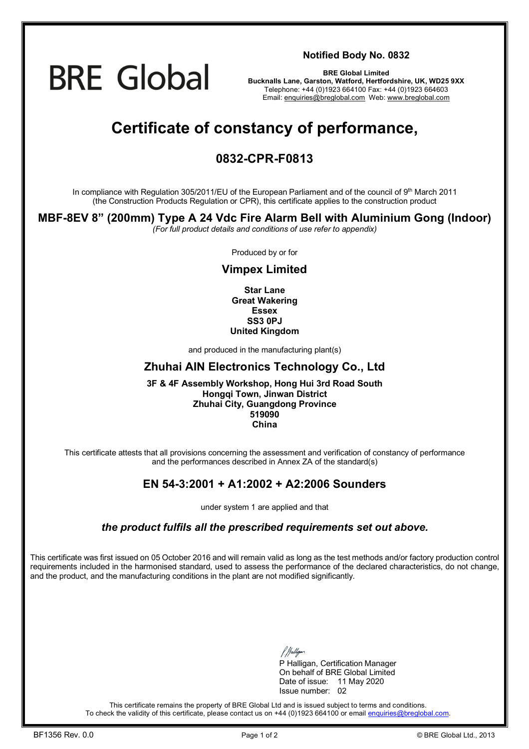

**Notified Body No. 0832**

**BRE Global Limited Bucknalls Lane, Garston, Watford, Hertfordshire, UK, WD25 9XX**  Telephone: +44 (0)1923 664100 Fax: +44 (0)1923 664603 Email: [enquiries@breglobal.com](mailto:enquiries@breglobal.com) Web: [www.breglobal.com](http://www.breglobal.com)

## **Certificate of constancy of performance,**

## **0832-CPR-F0813**

In compliance with Regulation 305/2011/EU of the European Parliament and of the council of 9<sup>th</sup> March 2011 (the Construction Products Regulation or CPR), this certificate applies to the construction product

## **MBF-8EV 8" (200mm) Type A 24 Vdc Fire Alarm Bell with Aluminium Gong (Indoor)**

*(For full product details and conditions of use refer to appendix)* 

Produced by or for

## **Vimpex Limited**

**Star Lane Great Wakering Essex SS3 0PJ United Kingdom**

and produced in the manufacturing plant(s)

### **Zhuhai AIN Electronics Technology Co., Ltd**

#### **3F & 4F Assembly Workshop, Hong Hui 3rd Road South Hongqi Town, Jinwan District Zhuhai City, Guangdong Province 519090 China**

This certificate attests that all provisions concerning the assessment and verification of constancy of performance and the performances described in Annex ZA of the standard(s)

## **EN 54-3:2001 + A1:2002 + A2:2006 Sounders**

under system 1 are applied and that

#### *the product fulfils all the prescribed requirements set out above.*

This certificate was first issued on 05 October 2016 and will remain valid as long as the test methods and/or factory production control requirements included in the harmonised standard, used to assess the performance of the declared characteristics, do not change, and the product, and the manufacturing conditions in the plant are not modified significantly.

P Halligan, Certification Manager On behalf of BRE Global Limited Date of issue: 11 May 2020 Issue number: 02

This certificate remains the property of BRE Global Ltd and is issued subject to terms and conditions. To check the validity of this certificate, please contact us on +44 (0)1923 664100 or email [enquiries@breglobal.com.](mailto:enquiries@breglobal.com)